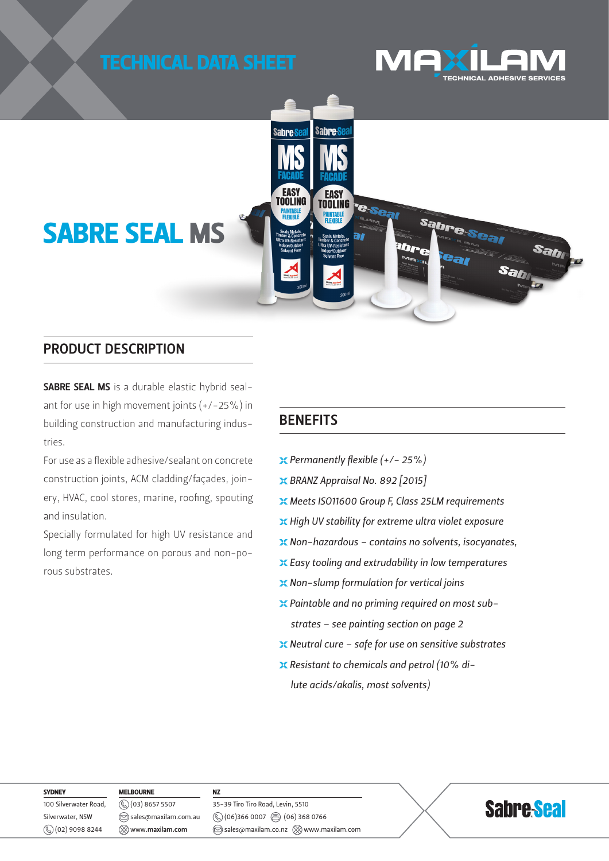



### PRODUCT DESCRIPTION

SABRE SEAL MS is a durable elastic hybrid sealant for use in high movement joints  $(+/-25%)$  in building construction and manufacturing industries.

For use as a flexible adhesive/sealant on concrete construction joints, ACM cladding/façades, joinery, HVAC, cool stores, marine, roofing, spouting and insulation.

Specially formulated for high UV resistance and long term performance on porous and non-porous substrates.

# **BENEFITS**

- *Permanently flexible (+/- 25%)*
- *BRANZ Appraisal No. 892 [2015]*
- *Meets ISO11600 Group F, Class 25LM requirements*
- *High UV stability for extreme ultra violet exposure*
- *Non-hazardous contains no solvents, isocyanates,*
- *Easy tooling and extrudability in low temperatures*
- *Non-slump formulation for vertical joins*
- *Paintable and no priming required on most substrates – see painting section on page 2*
- *Neutral cure safe for use on sensitive substrates*
- *Resistant to chemicals and petrol (10% dilute acids/akalis, most solvents)*

**SYDNEY** 100 Silverwater Road, Silverwater, NSW (02) 9098 8244

MELBOURNE (03) 8657 5507 sales@maxilam.com.au www.maxilam.com

NZ 35-39 Tiro Tiro Road, Levin, 5510  $\circledS$  (06)366 0007  $\circledR$  (06) 368 0766  $\circledcirc$  sales@maxilam.co.nz  $\otimes$  www.maxilam.com

# **Sabre Seal**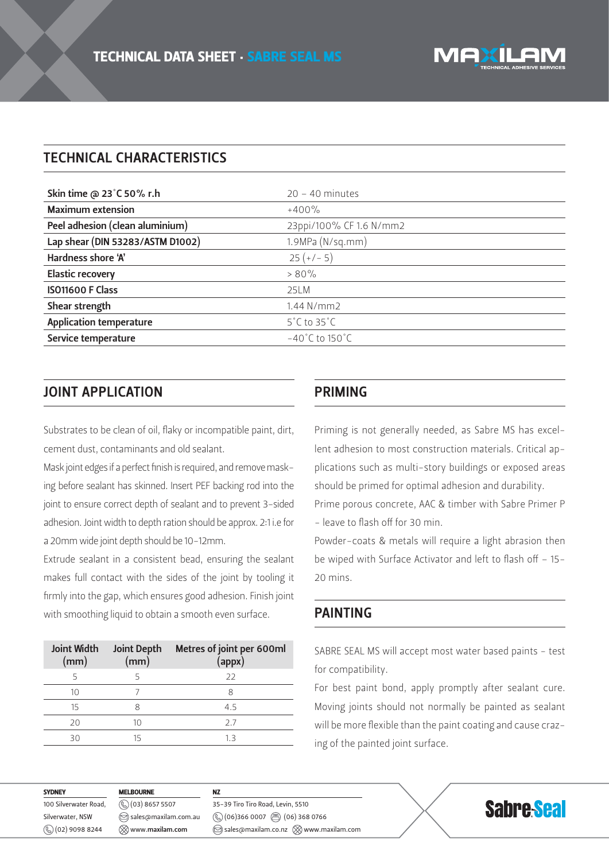# TECHNICAL CHARACTERISTICS

| $20 - 40$ minutes                   |
|-------------------------------------|
| $+400\%$                            |
| 23ppi/100% CF 1.6 N/mm2             |
| 1.9MPa (N/sq.mm)                    |
| $25 (+/- 5)$                        |
| $> 80\%$                            |
| 25LM                                |
| $1.44$ N/mm2                        |
| $5^{\circ}$ C to 35 $^{\circ}$ C    |
| $-40^{\circ}$ C to 150 $^{\circ}$ C |
|                                     |

# JOINT APPLICATION

Substrates to be clean of oil, flaky or incompatible paint, dirt, cement dust, contaminants and old sealant.

Mask joint edges if a perfect finish is required, and remove masking before sealant has skinned. Insert PEF backing rod into the joint to ensure correct depth of sealant and to prevent 3-sided adhesion. Joint width to depth ration should be approx. 2:1 i.e for a 20mm wide joint depth should be 10-12mm.

Extrude sealant in a consistent bead, ensuring the sealant makes full contact with the sides of the joint by tooling it firmly into the gap, which ensures good adhesion. Finish joint with smoothing liquid to obtain a smooth even surface.

| <b>Joint Width</b><br>(mm) | <b>Joint Depth</b><br>(mm) | Metres of joint per 600ml<br>(appx) |
|----------------------------|----------------------------|-------------------------------------|
|                            |                            | 22                                  |
| 10                         |                            | 8                                   |
| 15                         |                            | 4.5                                 |
| 20                         | 10                         | 2.7                                 |
| ヨロ                         | 15                         | 13                                  |

#### PRIMING

Priming is not generally needed, as Sabre MS has excellent adhesion to most construction materials. Critical applications such as multi-story buildings or exposed areas should be primed for optimal adhesion and durability.

Prime porous concrete, AAC & timber with Sabre Primer P - leave to flash off for 30 min.

Powder-coats & metals will require a light abrasion then be wiped with Surface Activator and left to flash off – 15- 20 mins.

#### PAINTING

SABRE SEAL MS will accept most water based paints - test for compatibility.

For best paint bond, apply promptly after sealant cure. Moving joints should not normally be painted as sealant will be more flexible than the paint coating and cause crazing of the painted joint surface.

| <b>SYDNEY</b>               | <b>MELBOURNE</b>                    |                                                              |                   |
|-----------------------------|-------------------------------------|--------------------------------------------------------------|-------------------|
| 100 Silverwater Road,       | $(\%)$ (03) 8657 5507               | 35-39 Tiro Tiro Road, Levin, 5510                            | <b>Sabre-Seal</b> |
| Silverwater, NSW            | $\circledcirc$ sales@maxilam.com.au | $\circledS$ (06)366 0007 $\circledR$ (06) 368 0766           |                   |
| $\mathcal{L}(02)$ 9098 8244 | $\otimes$ www.maxilam.com           | $\circledcirc$ sales@maxilam.co.nz $\otimes$ www.maxilam.com |                   |